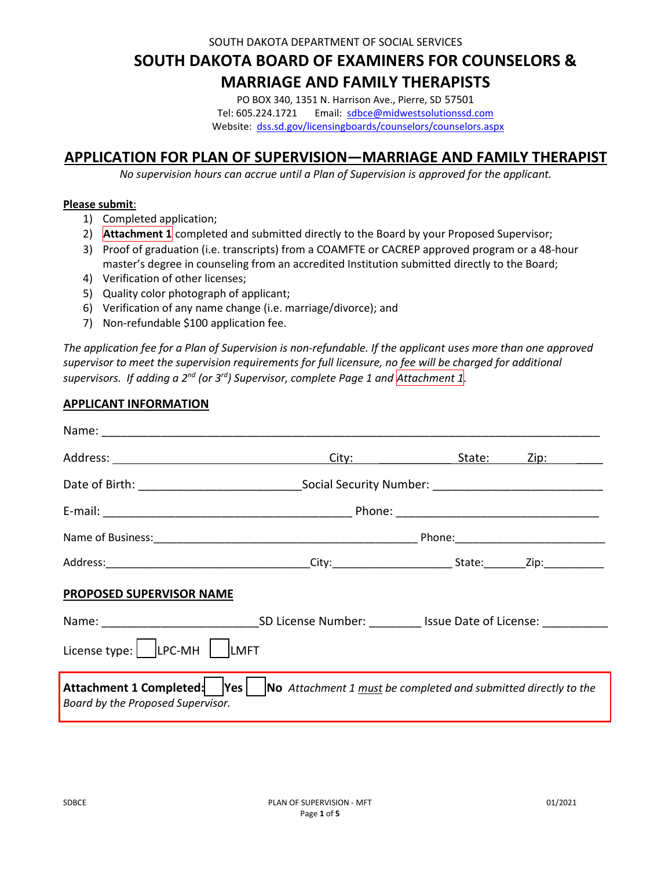SOUTH DAKOTA DEPARTMENT OF SOCIAL SERVICES

# **SOUTH DAKOTA BOARD OF EXAMINERS FOR COUNSELORS & MARRIAGE AND FAMILY THERAPISTS**

PO BOX 340, 1351 N. Harrison Ave., Pierre, SD 57501 Tel: 605.224.1721 Email: sdbce@midwestsolutionssd.com Website: dss.sd.gov/licensingboards/counselors/counselors.aspx

## **APPLICATION FOR PLAN OF SUPERVISION—MARRIAGE AND FAMILY THERAPIST**

*No supervision hours can accrue until a Plan of Supervision is approved for the applicant.*

#### **Please submit**:

- 1) Completed application;
- 2) **Attachment 1** completed and submitted directly to the Board by your Proposed Supervisor;
- 3) Proof of graduation (i.e. transcripts) from a COAMFTE or CACREP approved program or a 48-hour master's degree in counseling from an accredited Institution submitted directly to the Board;
- 4) Verification of other licenses;
- 5) Quality color photograph of applicant;
- 6) Verification of any name change (i.e. marriage/divorce); and
- 7) Non-refundable \$100 application fee.

*The application fee for a Plan of Supervision is non-refundable. If the applicant uses more than one approved supervisor to meet the supervision requirements for full licensure, no fee will be charged for additional supervisors. If adding a 2nd (or 3rd) Supervisor, complete Page 1 and Attachment 1.* 

## **APPLICANT INFORMATION**

|                                                                                                                                    |  | City: State: | Zip: will be a series of the series of the series of the series of the series of the series of the series of t |  |  |  |  |  |
|------------------------------------------------------------------------------------------------------------------------------------|--|--------------|----------------------------------------------------------------------------------------------------------------|--|--|--|--|--|
|                                                                                                                                    |  |              |                                                                                                                |  |  |  |  |  |
|                                                                                                                                    |  |              |                                                                                                                |  |  |  |  |  |
|                                                                                                                                    |  |              |                                                                                                                |  |  |  |  |  |
|                                                                                                                                    |  |              |                                                                                                                |  |  |  |  |  |
| PROPOSED SUPERVISOR NAME                                                                                                           |  |              |                                                                                                                |  |  |  |  |  |
|                                                                                                                                    |  |              |                                                                                                                |  |  |  |  |  |
| License type: $ $ LPC-MH $ $ LMFT                                                                                                  |  |              |                                                                                                                |  |  |  |  |  |
| Attachment 1 Completed: Yes   No Attachment 1 must be completed and submitted directly to the<br>Board by the Proposed Supervisor. |  |              |                                                                                                                |  |  |  |  |  |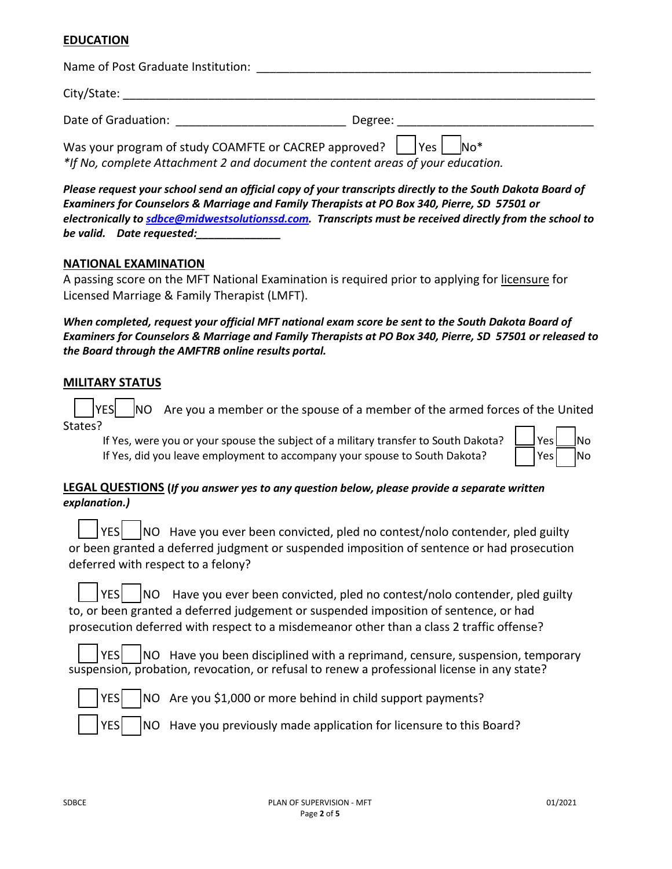## **EDUCATION**

| Name of Post Graduate Institution:                                                                                                                               |                                                                                                                                                                                                                                |  |  |  |  |  |  |  |
|------------------------------------------------------------------------------------------------------------------------------------------------------------------|--------------------------------------------------------------------------------------------------------------------------------------------------------------------------------------------------------------------------------|--|--|--|--|--|--|--|
|                                                                                                                                                                  |                                                                                                                                                                                                                                |  |  |  |  |  |  |  |
| Date of Graduation: The Contract of Graduation:                                                                                                                  | Degree: the contract of the contract of the contract of the contract of the contract of the contract of the contract of the contract of the contract of the contract of the contract of the contract of the contract of the co |  |  |  |  |  |  |  |
| Was your program of study COAMFTE or CACREP approved? $\parallel$  Yes    No*<br>*If No, complete Attachment 2 and document the content areas of your education. |                                                                                                                                                                                                                                |  |  |  |  |  |  |  |

*Please request your school send an official copy of your transcripts directly to the South Dakota Board of Examiners for Counselors & Marriage and Family Therapists at PO Box 340, Pierre, SD 57501 or electronically to sdbce@midwestsolutionssd.com. Transcripts must be received directly from the school to be valid. Date requested:\_\_\_\_\_\_\_\_\_\_\_\_\_\_*

#### **NATIONAL EXAMINATION**

A passing score on the MFT National Examination is required prior to applying for licensure for Licensed Marriage & Family Therapist (LMFT).

*When completed, request your official MFT national exam score be sent to the South Dakota Board of Examiners for Counselors & Marriage and Family Therapists at PO Box 340, Pierre, SD 57501 or released to the Board through the AMFTRB online results portal.* 

#### **MILITARY STATUS**

 $|YES|$  NO Are you a member or the spouse of a member of the armed forces of the United States?

If Yes, were you or your spouse the subject of a military transfer to South Dakota? If Yes, did you leave employment to accompany your spouse to South Dakota?

| Yes  | INo |
|------|-----|
| Yesl | INo |

**LEGAL QUESTIONS (***If you answer yes to any question below, please provide a separate written explanation.)*

|  |  | $\left  \begin{array}{c}   \end{array} \right $ $\left $ NO Have you ever been convicted, pled no contest/nolo contender, pled guilty |
|--|--|---------------------------------------------------------------------------------------------------------------------------------------|
|  |  | or been granted a deferred judgment or suspended imposition of sentence or had prosecution                                            |
|  |  | deferred with respect to a felony?                                                                                                    |

|  |  | $\vert$   YES     NO Have you ever been convicted, pled no contest/nolo contender, pled guilty |
|--|--|------------------------------------------------------------------------------------------------|
|  |  | to, or been granted a deferred judgement or suspended imposition of sentence, or had           |
|  |  | prosecution deferred with respect to a misdemeanor other than a class 2 traffic offense?       |

 $YES$  NO Have you been disciplined with a reprimand, censure, suspension, temporary suspension, probation, revocation, or refusal to renew a professional license in any state?



 $YES$  NO Have you previously made application for licensure to this Board?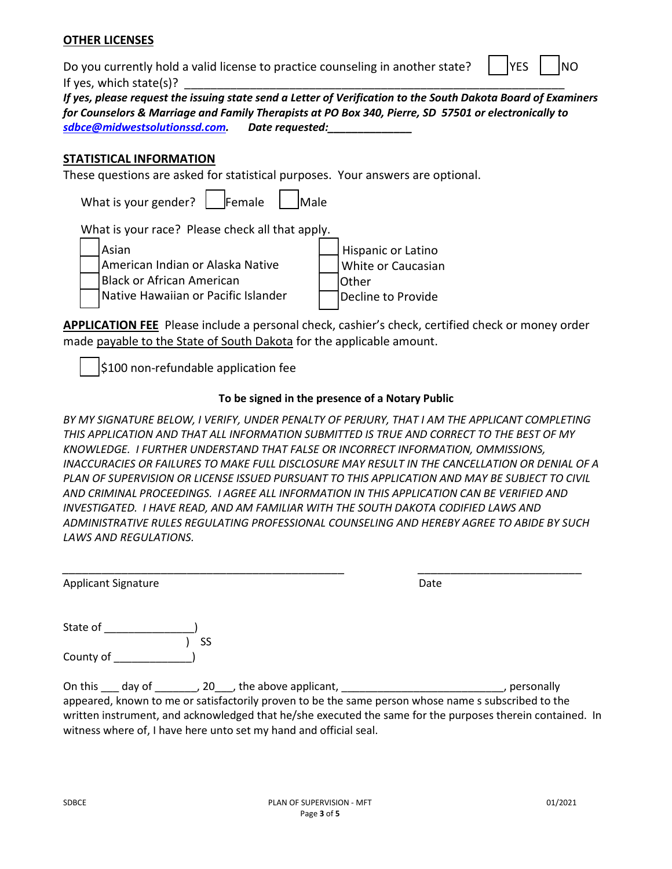### **OTHER LICENSES**

Do you currently hold a valid license to practice counseling in another state?  $\parallel$  |YES | |NO If yes, which state(s)?

|                                                                                                      | If yes, please request the issuing state send a Letter of Verification to the South Dakota Board of Examiners |  |  |  |  |  |  |
|------------------------------------------------------------------------------------------------------|---------------------------------------------------------------------------------------------------------------|--|--|--|--|--|--|
| for Counselors & Marriage and Family Therapists at PO Box 340, Pierre, SD 57501 or electronically to |                                                                                                               |  |  |  |  |  |  |
| sdbce@midwestsolutionssd.com.                                                                        | Date reauested:                                                                                               |  |  |  |  |  |  |

#### **STATISTICAL INFORMATION**

These questions are asked for statistical purposes. Your answers are optional.

What is your gender?  $\left| \begin{array}{c} \text{Female} \\ \text{Female} \end{array} \right|$  Male

What is your race? Please check all that apply.

Asian American Indian or Alaska Native Black or African American

Hispanic or Latino White or Caucasian **Other** Native Hawaiian or Pacific Islander  $\Box$  Decline to Provide

**APPLICATION FEE** Please include a personal check, cashier's check, certified check or money order made payable to the State of South Dakota for the applicable amount.

\$100 non-refundable application fee

#### **To be signed in the presence of a Notary Public**

BY MY SIGNATURE BELOW, I VERIFY, UNDER PENALTY OF PERJURY, THAT I AM THE APPLICANT COMPLETING *THIS APPLICATION AND THAT ALL INFORMATION SUBMITTED IS TRUE AND CORRECT TO THE BEST OF MY KNOWLEDGE. I FURTHER UNDERSTAND THAT FALSE OR INCORRECT INFORMATION, OMMISSIONS, INACCURACIES OR FAILURES TO MAKE FULL DISCLOSURE MAY RESULT IN THE CANCELLATION OR DENIAL OF A PLAN OF SUPERVISION OR LICENSE ISSUED PURSUANT TO THIS APPLICATION AND MAY BE SUBJECT TO CIVIL AND CRIMINAL PROCEEDINGS. I AGREE ALL INFORMATION IN THIS APPLICATION CAN BE VERIFIED AND INVESTIGATED. I HAVE READ, AND AM FAMILIAR WITH THE SOUTH DAKOTA CODIFIED LAWS AND ADMINISTRATIVE RULES REGULATING PROFESSIONAL COUNSELING AND HEREBY AGREE TO ABIDE BY SUCH LAWS AND REGULATIONS.* 

*\_\_\_\_\_\_\_\_\_\_\_\_\_\_\_\_\_\_\_\_\_\_\_\_\_\_\_\_\_\_\_\_\_\_\_\_\_\_\_\_\_\_\_ \_\_\_\_\_\_\_\_\_\_\_\_\_\_\_\_\_\_\_\_\_\_\_\_\_*

Applicant Signature Date

State of ) SS

County of

On this \_\_\_ day of \_\_\_\_\_\_\_, 20\_\_\_, the above applicant, \_\_\_\_\_\_\_\_\_\_\_\_\_\_\_\_\_\_\_\_\_\_\_\_\_\_\_\_\_, personally appeared, known to me or satisfactorily proven to be the same person whose name s subscribed to the written instrument, and acknowledged that he/she executed the same for the purposes therein contained. In witness where of, I have here unto set my hand and official seal.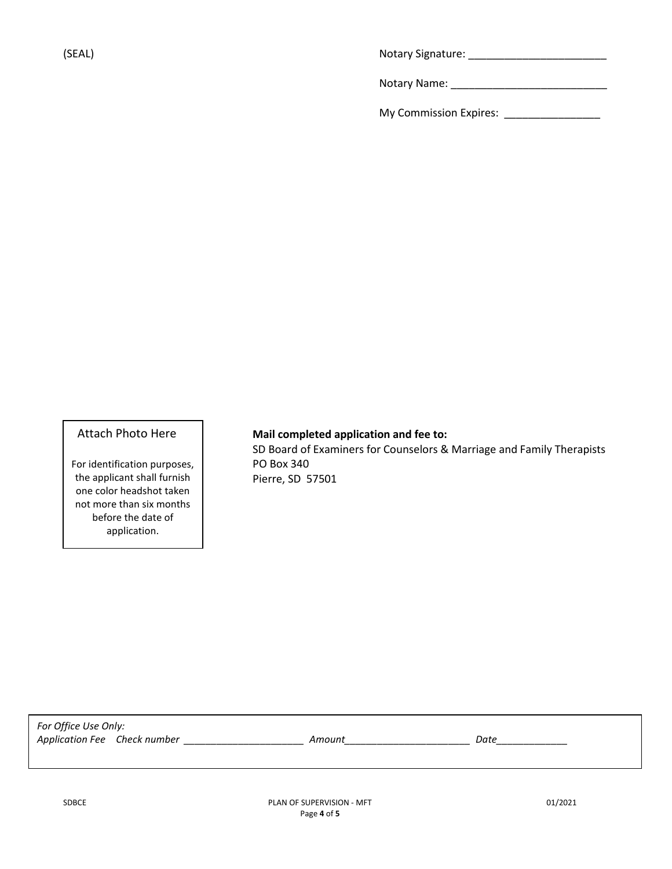(SEAL) Notary Signature: \_\_\_\_\_\_\_\_\_\_\_\_\_\_\_\_\_\_\_\_\_\_\_ Notary Name: \_\_\_\_\_\_\_\_\_\_\_\_\_\_\_\_\_\_\_\_\_\_\_\_\_\_

My Commission Expires: \_\_\_\_\_\_\_\_\_\_\_\_\_\_\_\_\_\_\_

#### Attach Photo Here

For identification purposes, the applicant shall furnish one color headshot taken not more than six months before the date of application.

#### **Mail completed application and fee to:**

SD Board of Examiners for Counselors & Marriage and Family Therapists PO Box 340 Pierre, SD 57501

*For Office Use Only: Application Fee Check number \_\_\_\_\_\_\_\_\_\_\_\_\_\_\_\_\_\_\_\_\_\_ Amount\_\_\_\_\_\_\_\_\_\_\_\_\_\_\_\_\_\_\_\_\_\_\_ Date\_\_\_\_\_\_\_\_\_\_\_\_\_*